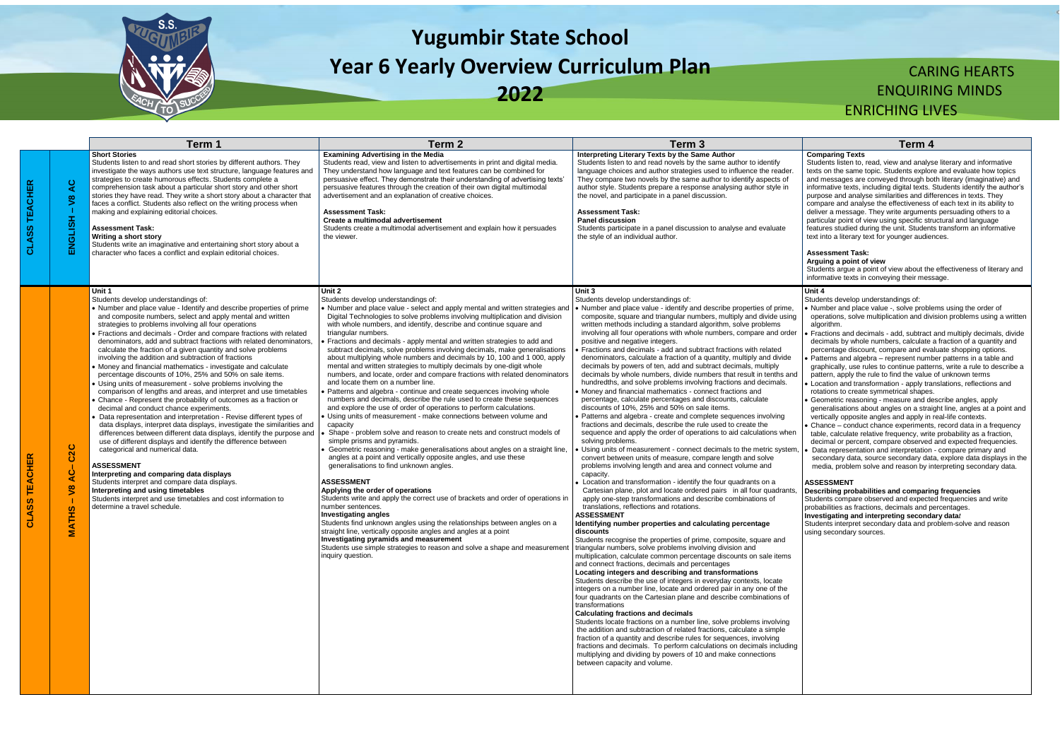

# **Yugumbir State School Year 6 Yearly Overview Curriculum Plan**

**2022**

## CARING HEARTS ENQUIRING MINDS ENRICHING LIVES

**Comparing Texts** Students listen to, read, view and analyse literary and informative texts on the same topic. Students explore and evaluate how topics

and messages are conveyed through both literary (imaginative) and informative texts, including digital texts. Students identify the author's purpose and analyse similarities and differences in texts. They compare and analyse the effectiveness of each text in its ability to deliver a message. They write arguments persuading others to a particular point of view using specific structural and language features studied during the unit. Students transform an informative text into a literary text for younger audiences.

#### **Assessment Task:**

#### **Arguing a point of view**

Students argue a point of view about the effectiveness of literary and informative texts in conveying their message.

|                  |                                                                          | Term 1                                                                                                                                                                                                                                                                                                                                                                                                                                                                                                                                                                                                                                                                                                                                                                                                                                                                                                                                                                                                                                                                                                                                                                                                                                                                                                                                                                                                                                                                                   | Term <sub>2</sub>                                                                                                                                                                                                                                                                                                                                                                                                                                                                                                                                                                                                                                                                                                                                                                                                                                                                                                                                                                                                                                                                                                                                                                                                                                                                                                                                                                                                                                                                                                                                                                                                                                                                                                                                                                                                                               | Term <sub>3</sub>                                                                                                                                                                                                                                                                                                                                                                                                                                                                                                                                                                                                                                                                                                                                                                                                                                                                                                                                                                                                                                                                                                                                                                                                                                                                                                                                                                                                                                                                                                                                                                                                                                                                                                                                                                                                                                                                                                                                                                                                                                                                                                                                                                                                                                                                                                                                                                                                                                                                                                                                                                                                                                                                                                     | Term 4                                                                                                                                                                                                                                                                                                                                                                                                                                                                                                                                                                                                                                                                                                                                                                                                                                                                                                                                                                                                                                                                                                                                                           |
|------------------|--------------------------------------------------------------------------|------------------------------------------------------------------------------------------------------------------------------------------------------------------------------------------------------------------------------------------------------------------------------------------------------------------------------------------------------------------------------------------------------------------------------------------------------------------------------------------------------------------------------------------------------------------------------------------------------------------------------------------------------------------------------------------------------------------------------------------------------------------------------------------------------------------------------------------------------------------------------------------------------------------------------------------------------------------------------------------------------------------------------------------------------------------------------------------------------------------------------------------------------------------------------------------------------------------------------------------------------------------------------------------------------------------------------------------------------------------------------------------------------------------------------------------------------------------------------------------|-------------------------------------------------------------------------------------------------------------------------------------------------------------------------------------------------------------------------------------------------------------------------------------------------------------------------------------------------------------------------------------------------------------------------------------------------------------------------------------------------------------------------------------------------------------------------------------------------------------------------------------------------------------------------------------------------------------------------------------------------------------------------------------------------------------------------------------------------------------------------------------------------------------------------------------------------------------------------------------------------------------------------------------------------------------------------------------------------------------------------------------------------------------------------------------------------------------------------------------------------------------------------------------------------------------------------------------------------------------------------------------------------------------------------------------------------------------------------------------------------------------------------------------------------------------------------------------------------------------------------------------------------------------------------------------------------------------------------------------------------------------------------------------------------------------------------------------------------|-----------------------------------------------------------------------------------------------------------------------------------------------------------------------------------------------------------------------------------------------------------------------------------------------------------------------------------------------------------------------------------------------------------------------------------------------------------------------------------------------------------------------------------------------------------------------------------------------------------------------------------------------------------------------------------------------------------------------------------------------------------------------------------------------------------------------------------------------------------------------------------------------------------------------------------------------------------------------------------------------------------------------------------------------------------------------------------------------------------------------------------------------------------------------------------------------------------------------------------------------------------------------------------------------------------------------------------------------------------------------------------------------------------------------------------------------------------------------------------------------------------------------------------------------------------------------------------------------------------------------------------------------------------------------------------------------------------------------------------------------------------------------------------------------------------------------------------------------------------------------------------------------------------------------------------------------------------------------------------------------------------------------------------------------------------------------------------------------------------------------------------------------------------------------------------------------------------------------------------------------------------------------------------------------------------------------------------------------------------------------------------------------------------------------------------------------------------------------------------------------------------------------------------------------------------------------------------------------------------------------------------------------------------------------------------------------------------------------|------------------------------------------------------------------------------------------------------------------------------------------------------------------------------------------------------------------------------------------------------------------------------------------------------------------------------------------------------------------------------------------------------------------------------------------------------------------------------------------------------------------------------------------------------------------------------------------------------------------------------------------------------------------------------------------------------------------------------------------------------------------------------------------------------------------------------------------------------------------------------------------------------------------------------------------------------------------------------------------------------------------------------------------------------------------------------------------------------------------------------------------------------------------|
| ĸ<br>ш<br>ō<br>ភ | Q<br>$\overline{\mathbf{S}}$<br>ENGLISH                                  | <b>Short Stories</b><br>Students listen to and read short stories by different authors. They<br>investigate the ways authors use text structure, language features and<br>strategies to create humorous effects. Students complete a<br>comprehension task about a particular short story and other short<br>stories they have read. They write a short story about a character that<br>faces a conflict. Students also reflect on the writing process when<br>making and explaining editorial choices.<br><b>Assessment Task:</b><br>Writing a short story<br>Students write an imaginative and entertaining short story about a<br>character who faces a conflict and explain editorial choices.                                                                                                                                                                                                                                                                                                                                                                                                                                                                                                                                                                                                                                                                                                                                                                                       | <b>Examining Advertising in the Media</b><br>Students read, view and listen to advertisements in print and digital media.<br>They understand how language and text features can be combined for<br>persuasive effect. They demonstrate their understanding of advertising texts'<br>persuasive features through the creation of their own digital multimodal<br>advertisement and an explanation of creative choices.<br><b>Assessment Task:</b><br>Create a multimodal advertisement<br>Students create a multimodal advertisement and explain how it persuades<br>the viewer.                                                                                                                                                                                                                                                                                                                                                                                                                                                                                                                                                                                                                                                                                                                                                                                                                                                                                                                                                                                                                                                                                                                                                                                                                                                                 | Interpreting Literary Texts by the Same Author<br>Students listen to and read novels by the same author to identify<br>language choices and author strategies used to influence the reader<br>They compare two novels by the same author to identify aspects of<br>author style. Students prepare a response analysing author style in<br>the novel, and participate in a panel discussion.<br><b>Assessment Task:</b><br><b>Panel discussion</b><br>Students participate in a panel discussion to analyse and evaluate<br>the style of an individual author.                                                                                                                                                                                                                                                                                                                                                                                                                                                                                                                                                                                                                                                                                                                                                                                                                                                                                                                                                                                                                                                                                                                                                                                                                                                                                                                                                                                                                                                                                                                                                                                                                                                                                                                                                                                                                                                                                                                                                                                                                                                                                                                                                         | <b>Comparing Texts</b><br>Students listen to, read, view and analys<br>texts on the same topic. Students explor<br>and messages are conveyed through bo<br>informative texts, including digital texts.<br>purpose and analyse similarities and diff<br>compare and analyse the effectiveness<br>deliver a message. They write argument<br>particular point of view using specific str<br>features studied during the unit. Student<br>text into a literary text for younger audier<br><b>Assessment Task:</b><br>Arguing a point of view<br>Students argue a point of view about the<br>informative texts in conveying their mess                                                                                                                                                                                                                                                                                                                                                                                                                                                                                                                                |
| ≃                | C <sub>2</sub> C<br>ن<br>ا<br>$\infty$<br>><br><b>SC</b><br><b>THINA</b> | Unit 1<br>Students develop understandings of:<br>• Number and place value - Identify and describe properties of prime<br>and composite numbers, select and apply mental and written<br>strategies to problems involving all four operations<br>• Fractions and decimals - Order and compare fractions with related<br>denominators, add and subtract fractions with related denominators,<br>calculate the fraction of a given quantity and solve problems<br>involving the addition and subtraction of fractions<br>• Money and financial mathematics - investigate and calculate<br>percentage discounts of 10%, 25% and 50% on sale items.<br>• Using units of measurement - solve problems involving the<br>comparison of lengths and areas, and interpret and use timetables<br>• Chance - Represent the probability of outcomes as a fraction or<br>decimal and conduct chance experiments.<br>Data representation and interpretation - Revise different types of<br>data displays, interpret data displays, investigate the similarities and<br>differences between different data displays, identify the purpose and<br>use of different displays and identify the difference between<br>categorical and numerical data.<br><b>ASSESSMENT</b><br>Interpreting and comparing data displays<br>Students interpret and compare data displays.<br>Interpreting and using timetables<br>Students interpret and use timetables and cost information to<br>determine a travel schedule. | Unit 2<br>Students develop understandings of:<br>Number and place value - select and apply mental and written strategies and<br>Digital Technologies to solve problems involving multiplication and division<br>with whole numbers, and identify, describe and continue square and<br>triangular numbers.<br>Fractions and decimals - apply mental and written strategies to add and<br>subtract decimals, solve problems involving decimals, make generalisations<br>about multiplying whole numbers and decimals by 10, 100 and 1 000, apply<br>mental and written strategies to multiply decimals by one-digit whole<br>numbers, and locate, order and compare fractions with related denominators<br>and locate them on a number line.<br>Patterns and algebra - continue and create sequences involving whole<br>numbers and decimals, describe the rule used to create these sequences<br>and explore the use of order of operations to perform calculations.<br>Using units of measurement - make connections between volume and<br>capacity<br>Shape - problem solve and reason to create nets and construct models of<br>simple prisms and pyramids.<br>Geometric reasoning - make generalisations about angles on a straight line,<br>angles at a point and vertically opposite angles, and use these<br>generalisations to find unknown angles.<br><b>ASSESSMENT</b><br>Applying the order of operations<br>Students write and apply the correct use of brackets and order of operations in<br>number sentences.<br>Investigating angles<br>Students find unknown angles using the relationships between angles on a<br>straight line, vertically opposite angles and angles at a point<br>Investigating pyramids and measurement<br>Students use simple strategies to reason and solve a shape and measurement<br>inquiry question. | Unit 3<br>Students develop understandings of:<br>• Number and place value - identify and describe properties of prime,<br>composite, square and triangular numbers, multiply and divide using<br>written methods including a standard algorithm, solve problems<br>involving all four operations with whole numbers, compare and order<br>positive and negative integers.<br>Fractions and decimals - add and subtract fractions with related<br>denominators, calculate a fraction of a quantity, multiply and divide<br>decimals by powers of ten, add and subtract decimals, multiply<br>decimals by whole numbers, divide numbers that result in tenths and<br>hundredths, and solve problems involving fractions and decimals.<br>Money and financial mathematics - connect fractions and<br>percentage, calculate percentages and discounts, calculate<br>discounts of 10%, 25% and 50% on sale items.<br>Patterns and algebra - create and complete sequences involving<br>fractions and decimals, describe the rule used to create the<br>sequence and apply the order of operations to aid calculations when<br>solving problems.<br>Using units of measurement - connect decimals to the metric system,<br>convert between units of measure, compare length and solve<br>problems involving length and area and connect volume and<br>capacity.<br>Location and transformation - identify the four quadrants on a<br>Cartesian plane, plot and locate ordered pairs in all four quadrants<br>apply one-step transformations and describe combinations of<br>translations, reflections and rotations.<br><b>ASSESSMENT</b><br>Identifying number properties and calculating percentage<br>discounts<br>Students recognise the properties of prime, composite, square and<br>triangular numbers, solve problems involving division and<br>multiplication, calculate common percentage discounts on sale items<br>and connect fractions, decimals and percentages<br>Locating integers and describing and transformations<br>Students describe the use of integers in everyday contexts, locate<br>integers on a number line, locate and ordered pair in any one of the<br>four quadrants on the Cartesian plane and describe combinations of<br>transformations<br><b>Calculating fractions and decimals</b><br>Students locate fractions on a number line, solve problems involving<br>the addition and subtraction of related fractions, calculate a simple<br>fraction of a quantity and describe rules for sequences, involving<br>fractions and decimals. To perform calculations on decimals including<br>multiplying and dividing by powers of 10 and make connections<br>between capacity and volume. | Unit 4<br>Students develop understandings of:<br>Number and place value -, solve proble<br>operations, solve multiplication and div<br>algorithm.<br>Fractions and decimals - add, subtract<br>decimals by whole numbers, calculate<br>percentage discount, compare and eva<br>Patterns and algebra - represent numb<br>graphically, use rules to continue patte<br>pattern, apply the rule to find the value<br>Location and transformation - apply tra<br>rotations to create symmetrical shapes<br>Geometric reasoning - measure and de<br>generalisations about angles on a strain<br>vertically opposite angles and apply in<br>Chance - conduct chance experiments<br>table, calculate relative frequency, write<br>decimal or percent, compare observed<br>Data representation and interpretation<br>secondary data, source secondary dat<br>media, problem solve and reason by ir<br><b>ASSESSMENT</b><br>Describing probabilities and comparin<br>Students compare observed and expecte<br>probabilities as fractions, decimals and p<br>Investigating and interpreting seconda<br>Students interpret secondary data and pr<br>using secondary sources. |

## **Unit 4**

- Number and place value -, solve problems using the order of operations, solve multiplication and division problems using a written algorithm.
- Fractions and decimals add, subtract and multiply decimals, divide decimals by whole numbers, calculate a fraction of a quantity and percentage discount, compare and evaluate shopping options.
- Patterns and algebra represent number patterns in a table and graphically, use rules to continue patterns, write a rule to describe a pattern, apply the rule to find the value of unknown terms
- Location and transformation apply translations, reflections and rotations to create symmetrical shapes.
- Geometric reasoning measure and describe angles, apply generalisations about angles on a straight line, angles at a point and vertically opposite angles and apply in real-life contexts.
- Chance conduct chance experiments, record data in a frequency table, calculate relative frequency, write probability as a fraction, decimal or percent, compare observed and expected frequencies.
- Data representation and interpretation compare primary and secondary data, source secondary data, explore data displays in the media, problem solve and reason by interpreting secondary data.

#### **ASSESSMENT**

**Describing probabilities and comparing frequencies**  Students compare observed and expected frequencies and write probabilities as fractions, decimals and percentages. **Investigating and interpreting secondary data***t* Students interpret secondary data and problem-solve and reason using secondary sources.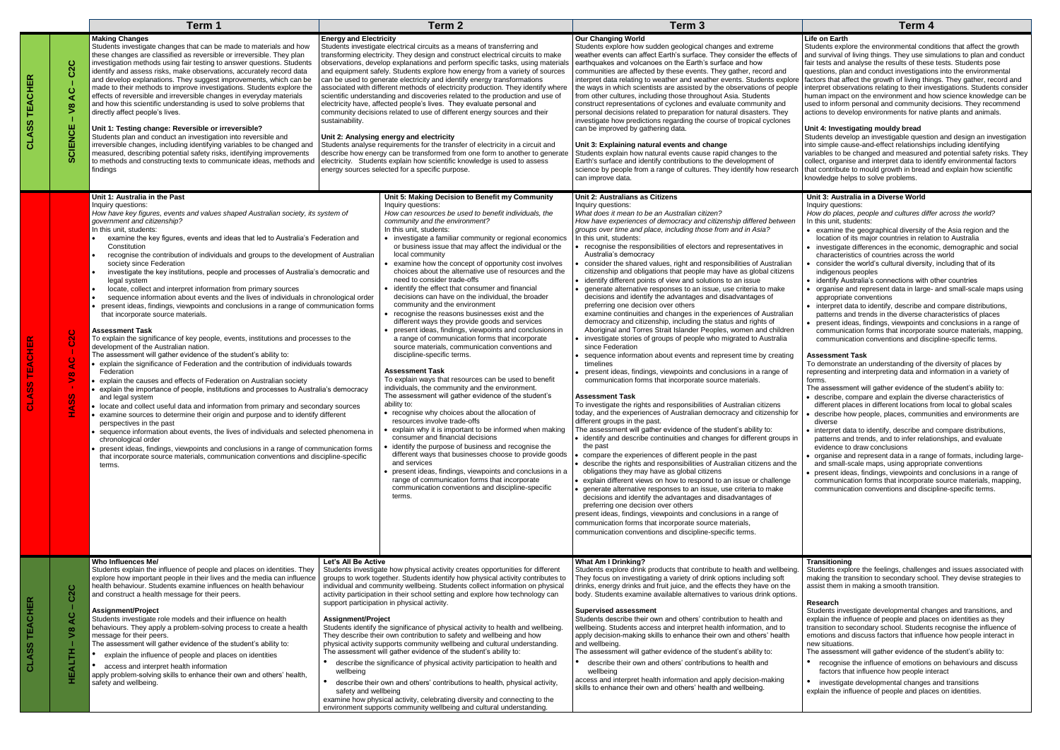## **Life on Earth**

Students explore the environmental conditions that affect the growth and survival of living things. They use simulations to plan and conduct fair tests and analyse the results of these tests. Students pose questions, plan and conduct investigations into the environmental factors that affect the growth of living things. They gather, record and interpret observations relating to their investigations. Students consider human impact on the environment and how science knowledge can be used to inform personal and community decisions. They recommend actions to develop environments for native plants and animals.

#### **Unit 4: Investigating mouldy bread**

Students develop an investigable question and design an investigation into simple cause-and-effect relationships including identifying variables to be changed and measured and potential safety risks. They collect, organise and interpret data to identify environmental factors that contribute to mould growth in bread and explain how scientific knowledge helps to solve problems.

|                                                                              |                                                  | Term 1                                                                                                                                                                                                                                                                                                                                                                                                                                                                                                                                                                                                                                                                                                                                                                                                                                                                                                                                                                                                                                                                                                                                                                                                                                                                                                                                                                                                                                                                                                                                                                                                                                                                                                                                                                                                                                                             |                                                                                | Term <sub>2</sub>                                                                                                                                                                                                                                                                                                                                                                                                                                                                                                                                                                                                                                                                                                                                                                                                                                                                                                                                                                                                                                                                                                                                                                                                                                                                                                                                                                                                                                                                                                                                                                                                                                   | Term <sub>3</sub>                                                                                                                                                                                                                                                                                                                                                                                                                                                                                                                                                                                                                                                                                                                                                                                                                                                                                                                                                                                                                                                                                                                                                                                                                                                                                                                                                                                                                                                                                                                                                                                                                                                                                                                                                                                                                                                                                                                                                                                                                                                                                                                                                                                                                                                                                    | Term 4                                                                                                                                                                                                                                                                                                                                                                                                                                                                                                                                                                                                                                                                                                                                                                                                                                                                                                                                                                                                                                                                                                                                                                                                                                                                                                                                                                              |
|------------------------------------------------------------------------------|--------------------------------------------------|--------------------------------------------------------------------------------------------------------------------------------------------------------------------------------------------------------------------------------------------------------------------------------------------------------------------------------------------------------------------------------------------------------------------------------------------------------------------------------------------------------------------------------------------------------------------------------------------------------------------------------------------------------------------------------------------------------------------------------------------------------------------------------------------------------------------------------------------------------------------------------------------------------------------------------------------------------------------------------------------------------------------------------------------------------------------------------------------------------------------------------------------------------------------------------------------------------------------------------------------------------------------------------------------------------------------------------------------------------------------------------------------------------------------------------------------------------------------------------------------------------------------------------------------------------------------------------------------------------------------------------------------------------------------------------------------------------------------------------------------------------------------------------------------------------------------------------------------------------------------|--------------------------------------------------------------------------------|-----------------------------------------------------------------------------------------------------------------------------------------------------------------------------------------------------------------------------------------------------------------------------------------------------------------------------------------------------------------------------------------------------------------------------------------------------------------------------------------------------------------------------------------------------------------------------------------------------------------------------------------------------------------------------------------------------------------------------------------------------------------------------------------------------------------------------------------------------------------------------------------------------------------------------------------------------------------------------------------------------------------------------------------------------------------------------------------------------------------------------------------------------------------------------------------------------------------------------------------------------------------------------------------------------------------------------------------------------------------------------------------------------------------------------------------------------------------------------------------------------------------------------------------------------------------------------------------------------------------------------------------------------|------------------------------------------------------------------------------------------------------------------------------------------------------------------------------------------------------------------------------------------------------------------------------------------------------------------------------------------------------------------------------------------------------------------------------------------------------------------------------------------------------------------------------------------------------------------------------------------------------------------------------------------------------------------------------------------------------------------------------------------------------------------------------------------------------------------------------------------------------------------------------------------------------------------------------------------------------------------------------------------------------------------------------------------------------------------------------------------------------------------------------------------------------------------------------------------------------------------------------------------------------------------------------------------------------------------------------------------------------------------------------------------------------------------------------------------------------------------------------------------------------------------------------------------------------------------------------------------------------------------------------------------------------------------------------------------------------------------------------------------------------------------------------------------------------------------------------------------------------------------------------------------------------------------------------------------------------------------------------------------------------------------------------------------------------------------------------------------------------------------------------------------------------------------------------------------------------------------------------------------------------------------------------------------------------|-------------------------------------------------------------------------------------------------------------------------------------------------------------------------------------------------------------------------------------------------------------------------------------------------------------------------------------------------------------------------------------------------------------------------------------------------------------------------------------------------------------------------------------------------------------------------------------------------------------------------------------------------------------------------------------------------------------------------------------------------------------------------------------------------------------------------------------------------------------------------------------------------------------------------------------------------------------------------------------------------------------------------------------------------------------------------------------------------------------------------------------------------------------------------------------------------------------------------------------------------------------------------------------------------------------------------------------------------------------------------------------|
| ပ<br>ပြ<br><b>TEACHER</b><br>O<br>⋖<br>$\infty$<br>∍<br>CLASS<br>ш<br>CIENCI |                                                  | <b>Making Changes</b><br>Students investigate changes that can be made to materials and how<br>these changes are classified as reversible or irreversible. They plan<br>investigation methods using fair testing to answer questions. Students<br>identify and assess risks, make observations, accurately record data<br>and develop explanations. They suggest improvements, which can be<br>made to their methods to improve investigations. Students explore the<br>effects of reversible and irreversible changes in everyday materials<br>and how this scientific understanding is used to solve problems that<br>directly affect people's lives.<br>Unit 1: Testing change: Reversible or irreversible?<br>Students plan and conduct an investigation into reversible and<br>irreversible changes, including identifying variables to be changed and<br>measured, describing potential safety risks, identifying improvements<br>to methods and constructing texts to communicate ideas, methods and<br>findings                                                                                                                                                                                                                                                                                                                                                                                                                                                                                                                                                                                                                                                                                                                                                                                                                                            | <b>Energy and Electricity</b><br>sustainability.                               | Students investigate electrical circuits as a means of transferring and<br>transforming electricity. They design and construct electrical circuits to make<br>observations, develop explanations and perform specific tasks, using materials<br>and equipment safely. Students explore how energy from a variety of sources<br>can be used to generate electricity and identify energy transformations<br>associated with different methods of electricity production. They identify where<br>scientific understanding and discoveries related to the production and use of<br>electricity have, affected people's lives. They evaluate personal and<br>community decisions related to use of different energy sources and their<br>Unit 2: Analysing energy and electricity<br>Students analyse requirements for the transfer of electricity in a circuit and<br>describe how energy can be transformed from one form to another to generate<br>electricity. Students explain how scientific knowledge is used to assess<br>energy sources selected for a specific purpose.                                                                                                                                                                                                                                                                                                                                                                                                                                                                                                                                                                        | <b>Our Changing World</b><br>Students explore how sudden geological changes and extreme<br>weather events can affect Earth's surface. They consider the effects o<br>earthquakes and volcanoes on the Earth's surface and how<br>communities are affected by these events. They gather, record and<br>interpret data relating to weather and weather events. Students explore<br>the ways in which scientists are assisted by the observations of people<br>from other cultures, including those throughout Asia. Students<br>construct representations of cyclones and evaluate community and<br>personal decisions related to preparation for natural disasters. They<br>investigate how predictions regarding the course of tropical cyclones<br>can be improved by gathering data.<br>Unit 3: Explaining natural events and change<br>Students explain how natural events cause rapid changes to the<br>Earth's surface and identify contributions to the development of<br>science by people from a range of cultures. They identify how research<br>can improve data.                                                                                                                                                                                                                                                                                                                                                                                                                                                                                                                                                                                                                                                                                                                                                                                                                                                                                                                                                                                                                                                                                                                                                                                                                          | Life on Earth<br>Students explore the environmental cond<br>and survival of living things. They use sin<br>fair tests and analyse the results of these<br>questions, plan and conduct investigation<br>factors that affect the growth of living thir<br>interpret observations relating to their inv<br>human impact on the environment and he<br>used to inform personal and community of<br>actions to develop environments for nativ<br>Unit 4: Investigating mouldy bread<br>Students develop an investigable questic<br>into simple cause-and-effect relationships<br>variables to be changed and measured a<br>collect, organise and interpret data to ide<br>that contribute to mould growth in bread a<br>knowledge helps to solve problems.                                                                                                                                                                                                                                                                                                                                                                                                                                                                                                                                                                                                                                |
| ĸ<br>S.<br>ഗ                                                                 | $\bullet$<br>$\mathbf{\Omega}$<br>G<br>$\infty$  | Unit 1: Australia in the Past<br>Inquiry questions:<br>How have key figures, events and values shaped Australian society, its system of<br>government and citizenship?<br>In this unit, students:<br>examine the key figures, events and ideas that led to Australia's Federation and<br>Constitution<br>recognise the contribution of individuals and groups to the development of Australian<br>society since Federation<br>investigate the key institutions, people and processes of Australia's democratic and<br>legal system<br>locate, collect and interpret information from primary sources<br>sequence information about events and the lives of individuals in chronological order<br>present ideas, findings, viewpoints and conclusions in a range of communication forms<br>that incorporate source materials.<br>Assessment Task<br>To explain the significance of key people, events, institutions and processes to the<br>development of the Australian nation.<br>The assessment will gather evidence of the student's ability to:<br>• explain the significance of Federation and the contribution of individuals towards<br>Federation<br>• explain the causes and effects of Federation on Australian society<br>explain the importance of people, institutions and processes to Australia's democracy<br>and legal system<br>• locate and collect useful data and information from primary and secondary sources<br>examine sources to determine their origin and purpose and to identify different<br>perspectives in the past<br>• sequence information about events, the lives of individuals and selected phenomena in<br>chronological order<br>present ideas, findings, viewpoints and conclusions in a range of communication forms<br>that incorporate source materials, communication conventions and discipline-specific<br>terms. |                                                                                | Unit 5: Making Decision to Benefit my Community<br>Inquiry questions:<br>How can resources be used to benefit individuals, the<br>community and the environment?<br>In this unit, students:<br>• investigate a familiar community or regional economics<br>or business issue that may affect the individual or the<br>local community<br>• examine how the concept of opportunity cost involves<br>choices about the alternative use of resources and the<br>need to consider trade-offs<br>• identify the effect that consumer and financial<br>decisions can have on the individual, the broader<br>community and the environment<br>recognise the reasons businesses exist and the<br>different ways they provide goods and services<br>present ideas, findings, viewpoints and conclusions in<br>a range of communication forms that incorporate<br>source materials, communication conventions and<br>discipline-specific terms.<br><b>Assessment Task</b><br>To explain ways that resources can be used to benefit<br>individuals, the community and the environment.<br>The assessment will gather evidence of the student's<br>ability to:<br>• recognise why choices about the allocation of<br>resources involve trade-offs<br>explain why it is important to be informed when making<br>consumer and financial decisions<br>• identify the purpose of business and recognise the<br>different ways that businesses choose to provide goods<br>and services<br>• present ideas, findings, viewpoints and conclusions in a<br>range of communication forms that incorporate<br>communication conventions and discipline-specific<br>terms. | Unit 2: Australians as Citizens<br>Inquiry questions:<br>What does it mean to be an Australian citizen?<br>How have experiences of democracy and citizenship differed between<br>groups over time and place, including those from and in Asia?<br>In this unit, students:<br>• recognise the responsibilities of electors and representatives in<br>Australia's democracy<br>consider the shared values, right and responsibilities of Australian<br>citizenship and obligations that people may have as global citizens<br>• identify different points of view and solutions to an issue<br>• generate alternative responses to an issue, use criteria to make<br>decisions and identify the advantages and disadvantages of<br>preferring one decision over others<br>examine continuities and changes in the experiences of Australian<br>democracy and citizenship, including the status and rights of<br>Aboriginal and Torres Strait Islander Peoples, women and children<br>• investigate stories of groups of people who migrated to Australia<br>since Federation<br>sequence information about events and represent time by creating<br>timelines<br>present ideas, findings, viewpoints and conclusions in a range of<br>communication forms that incorporate source materials.<br><b>Assessment Task</b><br>To investigate the rights and responsibilities of Australian citizens<br>today, and the experiences of Australian democracy and citizenship for<br>different groups in the past.<br>The assessment will gather evidence of the student's ability to:<br>• identify and describe continuities and changes for different groups in<br>the past<br>compare the experiences of different people in the past<br>describe the rights and responsibilities of Australian citizens and the<br>obligations they may have as global citizens<br>explain different views on how to respond to an issue or challenge<br>generate alternative responses to an issue, use criteria to make<br>decisions and identify the advantages and disadvantages of<br>preferring one decision over others<br>present ideas, findings, viewpoints and conclusions in a range of<br>communication forms that incorporate source materials,<br>communication conventions and discipline-specific terms. | Unit 3: Australia in a Diverse World<br>Inquiry questions:<br>How do places, people and cultures diffe<br>In this unit, students:<br>• examine the geographical diversity of<br>location of its major countries in relati<br>• investigate differences in the econom<br>characteristics of countries across the<br>• consider the world's cultural diversity,<br>indigenous peoples<br>• identify Australia's connections with of<br>• organise and represent data in large-<br>appropriate conventions<br>• interpret data to identify, describe and<br>patterns and trends in the diverse cha<br>• present ideas, findings, viewpoints are<br>communication forms that incorporate<br>communication conventions and disc<br><b>Assessment Task</b><br>To demonstrate an understanding of the<br>representing and interpreting data and ir<br>forms.<br>The assessment will gather evidence of<br>• describe, compare and explain the div<br>different places in different locations fi<br>· describe how people, places, commur<br>diverse<br>• interpret data to identify, describe and<br>patterns and trends, and to infer relati<br>evidence to draw conclusions<br>• organise and represent data in a rang<br>and small-scale maps, using appropria<br>present ideas, findings, viewpoints an<br>communication forms that incorporate<br>communication conventions and disci |
| <b>TEACHER</b><br>CLASS                                                      | $\circ$<br>ပ္ပ<br>Ο<br>$\infty$<br>Ξ.<br>ш<br>x. | Who Influences Me/<br>Students explain the influence of people and places on identities. They<br>explore how important people in their lives and the media can influence<br>health behaviour. Students examine influences on health behaviour<br>and construct a health message for their peers.<br>Assignment/Project<br>Students investigate role models and their influence on health<br>behaviours. They apply a problem-solving process to create a health<br>message for their peers.<br>The assessment will gather evidence of the student's ability to:<br>explain the influence of people and places on identities<br>access and interpret health information<br>apply problem-solving skills to enhance their own and others' health,<br>safety and wellbeing.                                                                                                                                                                                                                                                                                                                                                                                                                                                                                                                                                                                                                                                                                                                                                                                                                                                                                                                                                                                                                                                                                           | Let's All Be Active<br>Assignment/Project<br>wellbeing<br>safety and wellbeing | Students investigate how physical activity creates opportunities for different<br>groups to work together. Students identify how physical activity contributes to<br>individual and community wellbeing. Students collect information on physical<br>activity participation in their school setting and explore how technology can<br>support participation in physical activity.<br>Students identify the significance of physical activity to health and wellbeing.<br>They describe their own contribution to safety and wellbeing and how<br>physical activity supports community wellbeing and cultural understanding.<br>The assessment will gather evidence of the student's ability to:<br>describe the significance of physical activity participation to health and<br>describe their own and others' contributions to health, physical activity,<br>examine how physical activity, celebrating diversity and connecting to the<br>environment supports community wellbeing and cultural understanding.                                                                                                                                                                                                                                                                                                                                                                                                                                                                                                                                                                                                                                   | <b>What Am I Drinking?</b><br>Students explore drink products that contribute to health and wellbeing.<br>They focus on investigating a variety of drink options including soft<br>drinks, energy drinks and fruit juice, and the effects they have on the<br>body. Students examine available alternatives to various drink options.<br><b>Supervised assessment</b><br>Students describe their own and others' contribution to health and<br>wellbeing. Students access and interpret health information, and to<br>apply decision-making skills to enhance their own and others' health<br>and wellbeing.<br>The assessment will gather evidence of the student's ability to:<br>describe their own and others' contributions to health and<br>wellbeing<br>access and interpret health information and apply decision-making<br>skills to enhance their own and others' health and wellbeing.                                                                                                                                                                                                                                                                                                                                                                                                                                                                                                                                                                                                                                                                                                                                                                                                                                                                                                                                                                                                                                                                                                                                                                                                                                                                                                                                                                                                    | <b>Transitioning</b><br>Students explore the feelings, challenge<br>making the transition to secondary scho<br>assist them in making a smooth transitio<br>Research<br>Students investigate developmental cha<br>explain the influence of people and place<br>transition to secondary school. Students<br>emotions and discuss factors that influer<br>new situations.<br>The assessment will gather evidence of<br>recognise the influence of emotions<br>factors that influence how people int<br>$\bullet$<br>investigate developmental changes<br>explain the influence of people and place                                                                                                                                                                                                                                                                                                                                                                                                                                                                                                                                                                                                                                                                                                                                                                                     |

#### **Unit 3: Australia in a Diverse World**

#### Inquiry questions:

*How do places, people and cultures differ across the world?* In this unit, students:

- examine the geographical diversity of the Asia region and the location of its major countries in relation to Australia
- investigate differences in the economic, demographic and social characteristics of countries across the world
- consider the world's cultural diversity, including that of its indigenous peoples
- identify Australia's connections with other countries
- organise and represent data in large- and small-scale maps using appropriate conventions
- interpret data to identify, describe and compare distributions, patterns and trends in the diverse characteristics of places
- present ideas, findings, viewpoints and conclusions in a range of communication forms that incorporate source materials, mapping, communication conventions and discipline-specific terms.

#### **Assessment Task**

To demonstrate an understanding of the diversity of places by representing and interpreting data and information in a variety of forms.

- The assessment will gather evidence of the student's ability to: • describe, compare and explain the diverse characteristics of
- different places in different locations from local to global scales
- describe how people, places, communities and environments are diverse
- interpret data to identify, describe and compare distributions, patterns and trends, and to infer relationships, and evaluate evidence to draw conclusions
- organise and represent data in a range of formats, including largeand small-scale maps, using appropriate conventions
- present ideas, findings, viewpoints and conclusions in a range of communication forms that incorporate source materials, mapping, communication conventions and discipline-specific terms.

#### **Transitioning**

Students explore the feelings, challenges and issues associated with making the transition to secondary school. They devise strategies to assist them in making a smooth transition.

#### **Research**

Students investigate developmental changes and transitions, and explain the influence of people and places on identities as they transition to secondary school. Students recognise the influence of emotions and discuss factors that influence how people interact in new situations.

The assessment will gather evidence of the student's ability to:

- recognise the influence of emotions on behaviours and discuss factors that influence how people interact
- investigate developmental changes and transitions
- explain the influence of people and places on identities.